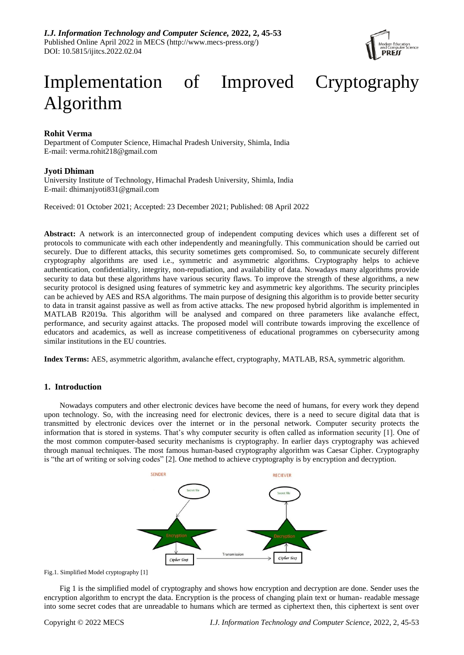

# Implementation of Improved Cryptography Algorithm

# **Rohit Verma**

Department of Computer Science, Himachal Pradesh University, Shimla, India E-mail: verma.rohit218@gmail.com

# **Jyoti Dhiman**

University Institute of Technology, Himachal Pradesh University, Shimla, India E-mail: dhimanjyoti831@gmail.com

Received: 01 October 2021; Accepted: 23 December 2021; Published: 08 April 2022

**Abstract:** A network is an interconnected group of independent computing devices which uses a different set of protocols to communicate with each other independently and meaningfully. This communication should be carried out securely. Due to different attacks, this security sometimes gets compromised. So, to communicate securely different cryptography algorithms are used i.e., symmetric and asymmetric algorithms. Cryptography helps to achieve authentication, confidentiality, integrity, non-repudiation, and availability of data. Nowadays many algorithms provide security to data but these algorithms have various security flaws. To improve the strength of these algorithms, a new security protocol is designed using features of symmetric key and asymmetric key algorithms. The security principles can be achieved by AES and RSA algorithms. The main purpose of designing this algorithm is to provide better security to data in transit against passive as well as from active attacks. The new proposed hybrid algorithm is implemented in MATLAB R2019a. This algorithm will be analysed and compared on three parameters like avalanche effect, performance, and security against attacks. The proposed model will contribute towards improving the excellence of educators and academics, as well as increase competitiveness of educational programmes on cybersecurity among similar institutions in the EU countries.

**Index Terms:** AES, asymmetric algorithm, avalanche effect, cryptography, MATLAB, RSA, symmetric algorithm.

# **1. Introduction**

Nowadays computers and other electronic devices have become the need of humans, for every work they depend upon technology. So, with the increasing need for electronic devices, there is a need to secure digital data that is transmitted by electronic devices over the internet or in the personal network. Computer security protects the information that is stored in systems. That's why computer security is often called as information security [1]. One of the most common computer-based security mechanisms is cryptography. In earlier days cryptography was achieved through manual techniques. The most famous human-based cryptography algorithm was Caesar Cipher. Cryptography is "the art of writing or solving codes" [2]. One method to achieve cryptography is by encryption and decryption.



Fig.1. Simplified Model cryptography [1]

Fig 1 is the simplified model of cryptography and shows how encryption and decryption are done. Sender uses the encryption algorithm to encrypt the data. Encryption is the process of changing plain text or human- readable message into some secret codes that are unreadable to humans which are termed as ciphertext then, this ciphertext is sent over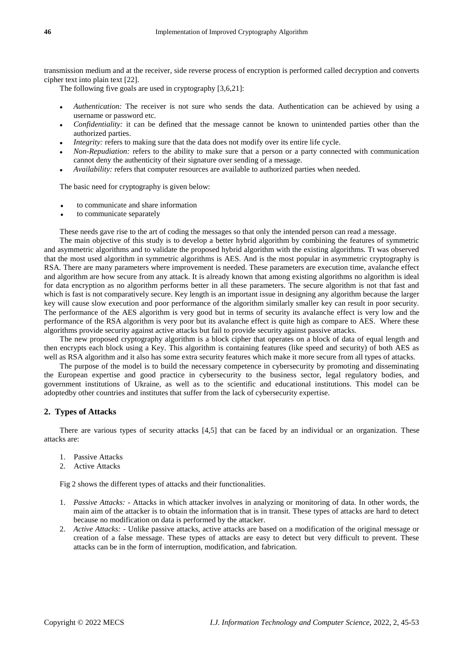transmission medium and at the receiver, side reverse process of encryption is performed called decryption and converts cipher text into plain text [22].

The following five goals are used in cryptography [3,6,21]:

- *Authentication:* The receiver is not sure who sends the data. Authentication can be achieved by using a username or password etc.
- *Confidentiality:* it can be defined that the message cannot be known to unintended parties other than the authorized parties.
- *Integrity:* refers to making sure that the data does not modify over its entire life cycle.
- *Non-Repudiation:* refers to the ability to make sure that a person or a party connected with communication cannot deny the authenticity of their signature over sending of a message.
- *Availability:* refers that computer resources are available to authorized parties when needed.

The basic need for cryptography is given below:

- to communicate and share information
- to communicate separately

These needs gave rise to the art of coding the messages so that only the intended person can read a message.

The main objective of this study is to develop a better hybrid algorithm by combining the features of symmetric and asymmetric algorithms and to validate the proposed hybrid algorithm with the existing algorithms. Tt was observed that the most used algorithm in symmetric algorithms is AES. And is the most popular in asymmetric cryptography is RSA. There are many parameters where improvement is needed. These parameters are execution time, avalanche effect and algorithm are how secure from any attack. It is already known that among existing algorithms no algorithm is ideal for data encryption as no algorithm performs better in all these parameters. The secure algorithm is not that fast and which is fast is not comparatively secure. Key length is an important issue in designing any algorithm because the larger key will cause slow execution and poor performance of the algorithm similarly smaller key can result in poor security. The performance of the AES algorithm is very good but in terms of security its avalanche effect is very low and the performance of the RSA algorithm is very poor but its avalanche effect is quite high as compare to AES. Where these algorithms provide security against active attacks but fail to provide security against passive attacks.

The new proposed cryptography algorithm is a block cipher that operates on a block of data of equal length and then encrypts each block using a Key. This algorithm is containing features (like speed and security) of both AES as well as RSA algorithm and it also has some extra security features which make it more secure from all types of attacks.

The purpose of the model is to build the necessary competence in cybersecurity by promoting and disseminating the European expertise and good practice in cybersecurity to the business sector, legal regulatory bodies, and government institutions of Ukraine, as well as to the scientific and educational institutions. This model can be adoptedby other countries and institutes that suffer from the lack of cybersecurity expertise.

# **2. Types of Attacks**

There are various types of security attacks [4,5] that can be faced by an individual or an organization. These attacks are:

- 1. Passive Attacks
- 2. Active Attacks

Fig 2 shows the different types of attacks and their functionalities.

- 1. *Passive Attacks:* Attacks in which attacker involves in analyzing or monitoring of data. In other words, the main aim of the attacker is to obtain the information that is in transit. These types of attacks are hard to detect because no modification on data is performed by the attacker.
- 2. *Active Attacks:* Unlike passive attacks, active attacks are based on a modification of the original message or creation of a false message. These types of attacks are easy to detect but very difficult to prevent. These attacks can be in the form of interruption, modification, and fabrication.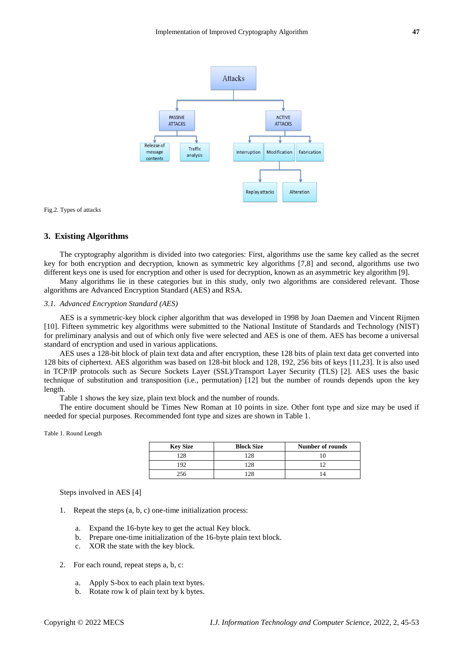

Fig.2. Types of attacks

## **3. Existing Algorithms**

The cryptography algorithm is divided into two categories: First, algorithms use the same key called as the secret key for both encryption and decryption, known as symmetric key algorithms [7,8] and second, algorithms use two different keys one is used for encryption and other is used for decryption, known as an asymmetric key algorithm [9].

Many algorithms lie in these categories but in this study, only two algorithms are considered relevant. Those algorithms are Advanced Encryption Standard (AES) and RSA.

## *3.1. Advanced Encryption Standard (AES)*

AES is a symmetric-key block cipher algorithm that was developed in 1998 by Joan Daemen and Vincent Rijmen [10]. Fifteen symmetric key algorithms were submitted to the National Institute of Standards and Technology (NIST) for preliminary analysis and out of which only five were selected and AES is one of them. AES has become a universal standard of encryption and used in various applications.

AES uses a 128-bit block of plain text data and after encryption, these 128 bits of plain text data get converted into 128 bits of ciphertext. AES algorithm was based on 128-bit block and 128, 192, 256 bits of keys [11,23]. It is also used in TCP/IP protocols such as Secure Sockets Layer (SSL)/Transport Layer Security (TLS) [2]. AES uses the basic technique of substitution and transposition (i.e., permutation) [12] but the number of rounds depends upon the key length.

Table 1 shows the key size, plain text block and the number of rounds.

The entire document should be Times New Roman at 10 points in size. Other font type and size may be used if needed for special purposes. Recommended font type and sizes are shown in Table 1.

#### Table 1. Round Length

| <b>Key Size</b> | <b>Block Size</b> | Number of rounds |
|-----------------|-------------------|------------------|
| 128             | 28                |                  |
| 92              | 28                |                  |
| 256             |                   |                  |

Steps involved in AES [4]

- 1. Repeat the steps (a, b, c) one-time initialization process:
	- a. Expand the 16-byte key to get the actual Key block.
	- b. Prepare one-time initialization of the 16-byte plain text block.
	- c. XOR the state with the key block.
- 2. For each round, repeat steps a, b, c:
	- a. Apply S-box to each plain text bytes.
	- b. Rotate row k of plain text by k bytes.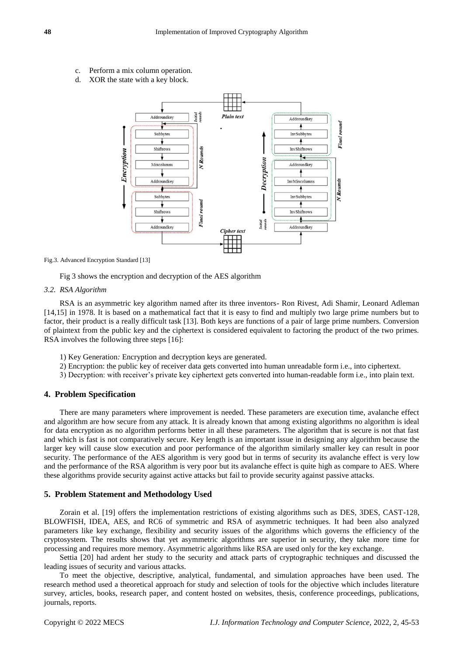- c. Perform a mix column operation.
- d. XOR the state with a key block.



Fig.3. Advanced Encryption Standard [13]

Fig 3 shows the encryption and decryption of the AES algorithm

#### *3.2. RSA Algorithm*

RSA is an asymmetric key algorithm named after its three inventors- Ron Rivest, Adi Shamir, Leonard Adleman [14,15] in 1978. It is based on a mathematical fact that it is easy to find and multiply two large prime numbers but to factor, their product is a really difficult task [13]. Both keys are functions of a pair of large prime numbers. Conversion of plaintext from the public key and the ciphertext is considered equivalent to factoring the product of the two primes. RSA involves the following three steps [16]:

- 1) Key Generation*:* Encryption and decryption keys are generated.
- 2) Encryption: the public key of receiver data gets converted into human unreadable form i.e., into ciphertext.
- 3) Decryption: with receiver's private key ciphertext gets converted into human-readable form i.e., into plain text.

## **4. Problem Specification**

There are many parameters where improvement is needed. These parameters are execution time, avalanche effect and algorithm are how secure from any attack. It is already known that among existing algorithms no algorithm is ideal for data encryption as no algorithm performs better in all these parameters. The algorithm that is secure is not that fast and which is fast is not comparatively secure. Key length is an important issue in designing any algorithm because the larger key will cause slow execution and poor performance of the algorithm similarly smaller key can result in poor security. The performance of the AES algorithm is very good but in terms of security its avalanche effect is very low and the performance of the RSA algorithm is very poor but its avalanche effect is quite high as compare to AES. Where these algorithms provide security against active attacks but fail to provide security against passive attacks.

## **5. Problem Statement and Methodology Used**

Zorain et al. [19] offers the implementation restrictions of existing algorithms such as DES, 3DES, CAST-128, BLOWFISH, IDEA, AES, and RC6 of symmetric and RSA of asymmetric techniques. It had been also analyzed parameters like key exchange, flexibility and security issues of the algorithms which governs the efficiency of the cryptosystem. The results shows that yet asymmetric algorithms are superior in security, they take more time for processing and requires more memory. Asymmetric algorithms like RSA are used only for the key exchange.

Settia [20] had ardent her study to the security and attack parts of cryptographic techniques and discussed the leading issues of security and various attacks.

To meet the objective, descriptive, analytical, fundamental, and simulation approaches have been used. The research method used a theoretical approach for study and selection of tools for the objective which includes literature survey, articles, books, research paper, and content hosted on websites, thesis, conference proceedings, publications, journals, reports.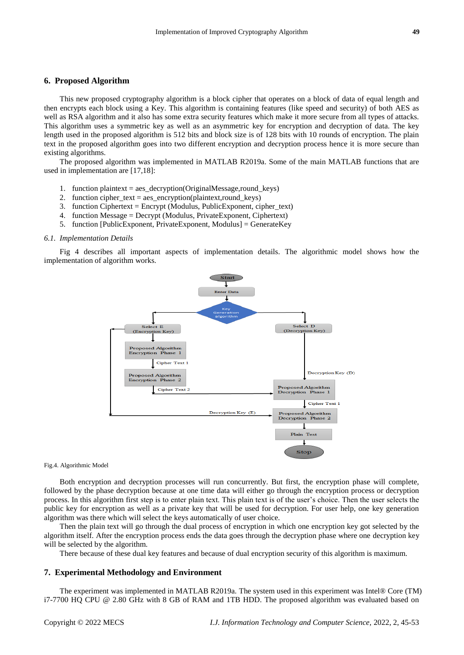## **6. Proposed Algorithm**

This new proposed cryptography algorithm is a block cipher that operates on a block of data of equal length and then encrypts each block using a Key. This algorithm is containing features (like speed and security) of both AES as well as RSA algorithm and it also has some extra security features which make it more secure from all types of attacks. This algorithm uses a symmetric key as well as an asymmetric key for encryption and decryption of data. The key length used in the proposed algorithm is 512 bits and block size is of 128 bits with 10 rounds of encryption. The plain text in the proposed algorithm goes into two different encryption and decryption process hence it is more secure than existing algorithms.

The proposed algorithm was implemented in MATLAB R2019a. Some of the main MATLAB functions that are used in implementation are [17,18]:

- 1. function plaintext = aes\_decryption(OriginalMessage,round\_keys)
- 2. function cipher\_text = aes\_encryption(plaintext,round\_keys)
- 3. function Ciphertext = Encrypt (Modulus, PublicExponent, cipher\_text)
- 4. function Message = Decrypt (Modulus, PrivateExponent, Ciphertext)
- 5. function [PublicExponent, PrivateExponent, Modulus] = GenerateKey

#### *6.1. Implementation Details*

Fig 4 describes all important aspects of implementation details. The algorithmic model shows how the implementation of algorithm works.



#### Fig.4. Algorithmic Model

Both encryption and decryption processes will run concurrently. But first, the encryption phase will complete, followed by the phase decryption because at one time data will either go through the encryption process or decryption process. In this algorithm first step is to enter plain text. This plain text is of the user's choice. Then the user selects the public key for encryption as well as a private key that will be used for decryption. For user help, one key generation algorithm was there which will select the keys automatically of user choice.

Then the plain text will go through the dual process of encryption in which one encryption key got selected by the algorithm itself. After the encryption process ends the data goes through the decryption phase where one decryption key will be selected by the algorithm.

There because of these dual key features and because of dual encryption security of this algorithm is maximum.

#### **7. Experimental Methodology and Environment**

The experiment was implemented in MATLAB R2019a. The system used in this experiment was Intel® Core (TM) i7-7700 HQ CPU @ 2.80 GHz with 8 GB of RAM and 1TB HDD. The proposed algorithm was evaluated based on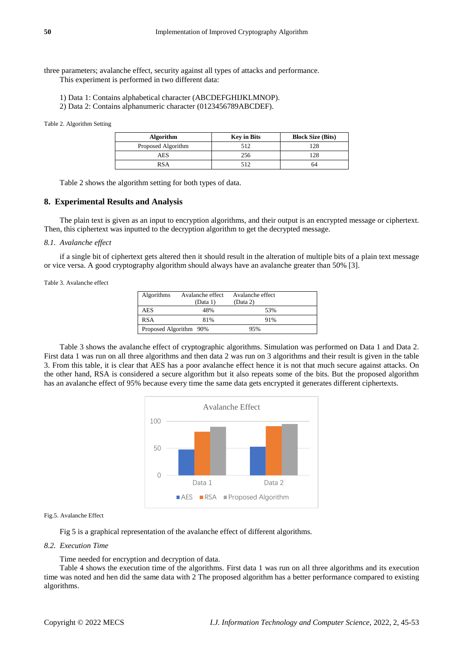three parameters; avalanche effect, security against all types of attacks and performance. This experiment is performed in two different data:

- 1) Data 1: Contains alphabetical character (ABCDEFGHIJKLMNOP).
- 2) Data 2: Contains alphanumeric character (0123456789ABCDEF).

## Table 2. Algorithm Setting

| <b>Algorithm</b>   | <b>Key in Bits</b> | <b>Block Size (Bits)</b> |
|--------------------|--------------------|--------------------------|
| Proposed Algorithm | 512                | 128                      |
| AES                | 256                | 128                      |
| RSA                | 512                | 64                       |

Table 2 shows the algorithm setting for both types of data.

## **8. Experimental Results and Analysis**

The plain text is given as an input to encryption algorithms, and their output is an encrypted message or ciphertext. Then, this ciphertext was inputted to the decryption algorithm to get the decrypted message.

## *8.1. Avalanche effect*

if a single bit of ciphertext gets altered then it should result in the alteration of multiple bits of a plain text message or vice versa. A good cryptography algorithm should always have an avalanche greater than 50% [3].

Table 3. Avalanche effect

| Algorithms             | Avalanche effect<br>(Data 1) | Avalanche effect<br>(Data 2) |  |
|------------------------|------------------------------|------------------------------|--|
| AES                    | 48%                          | 53%                          |  |
| <b>RSA</b>             | 81%                          | 91%                          |  |
| Proposed Algorithm 90% |                              | 95%                          |  |

Table 3 shows the avalanche effect of cryptographic algorithms. Simulation was performed on Data 1 and Data 2. First data 1 was run on all three algorithms and then data 2 was run on 3 algorithms and their result is given in the table 3. From this table, it is clear that AES has a poor avalanche effect hence it is not that much secure against attacks. On the other hand, RSA is considered a secure algorithm but it also repeats some of the bits. But the proposed algorithm has an avalanche effect of 95% because every time the same data gets encrypted it generates different ciphertexts.



## Fig.5. Avalanche Effect

Fig 5 is a graphical representation of the avalanche effect of different algorithms.

## *8.2. Execution Time*

Time needed for encryption and decryption of data.

Table 4 shows the execution time of the algorithms. First data 1 was run on all three algorithms and its execution time was noted and hen did the same data with 2 The proposed algorithm has a better performance compared to existing algorithms.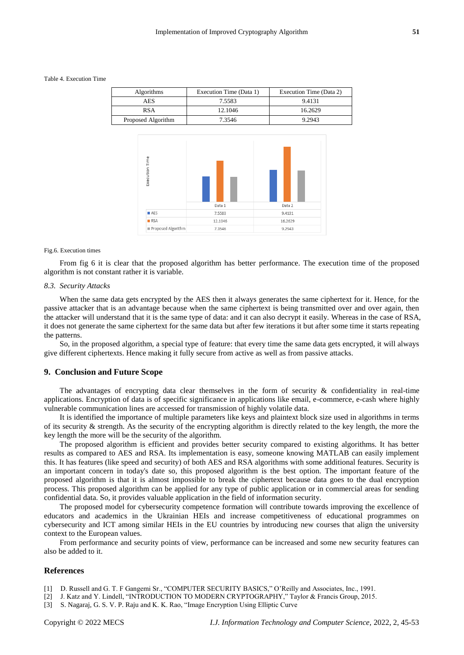Table 4. Execution Time

| <b>Algorithms</b>  | Execution Time (Data 1) | Execution Time (Data 2) |
|--------------------|-------------------------|-------------------------|
| AES                | 7.5583                  | 9.4131                  |
| RSA                | 12.1046                 | 16.2629                 |
| Proposed Algorithm | 7.3546                  | 9.2943                  |



Fig.6. Execution times

From fig 6 it is clear that the proposed algorithm has better performance. The execution time of the proposed algorithm is not constant rather it is variable.

## *8.3. Security Attacks*

When the same data gets encrypted by the AES then it always generates the same ciphertext for it. Hence, for the passive attacker that is an advantage because when the same ciphertext is being transmitted over and over again, then the attacker will understand that it is the same type of data: and it can also decrypt it easily. Whereas in the case of RSA, it does not generate the same ciphertext for the same data but after few iterations it but after some time it starts repeating the patterns.

So, in the proposed algorithm, a special type of feature: that every time the same data gets encrypted, it will always give different ciphertexts. Hence making it fully secure from active as well as from passive attacks.

## **9. Conclusion and Future Scope**

The advantages of encrypting data clear themselves in the form of security  $\&$  confidentiality in real-time applications. Encryption of data is of specific significance in applications like email, e-commerce, e-cash where highly vulnerable communication lines are accessed for transmission of highly volatile data.

It is identified the importance of multiple parameters like keys and plaintext block size used in algorithms in terms of its security  $\&$  strength. As the security of the encrypting algorithm is directly related to the key length, the more the key length the more will be the security of the algorithm.

The proposed algorithm is efficient and provides better security compared to existing algorithms. It has better results as compared to AES and RSA. Its implementation is easy, someone knowing MATLAB can easily implement this. It has features (like speed and security) of both AES and RSA algorithms with some additional features. Security is an important concern in today's date so, this proposed algorithm is the best option. The important feature of the proposed algorithm is that it is almost impossible to break the ciphertext because data goes to the dual encryption process. This proposed algorithm can be applied for any type of public application or in commercial areas for sending confidential data. So, it provides valuable application in the field of information security.

The proposed model for cybersecurity competence formation will contribute towards improving the excellence of educators and academics in the Ukrainian HEIs and increase competitiveness of educational programmes on cybersecurity and ICT among similar HEIs in the EU countries by introducing new courses that align the university context to the European values.

From performance and security points of view, performance can be increased and some new security features can also be added to it.

## **References**

- [1] D. Russell and G. T. F Gangemi Sr., "COMPUTER SECURITY BASICS," O'Reilly and Associates, Inc., 1991.
- [2] J. Katz and Y. Lindell, "INTRODUCTION TO MODERN CRYPTOGRAPHY," Taylor & Francis Group, 2015.
- [3] S. Nagaraj, G. S. V. P. Raju and K. K. Rao, "Image Encryption Using Elliptic Curve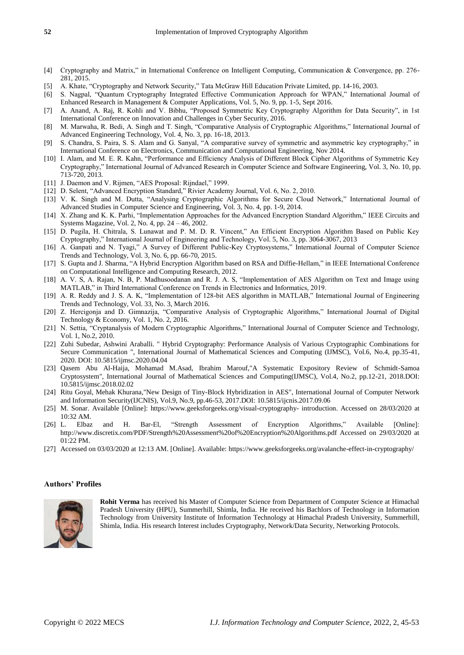- [4] Cryptography and Matrix," in International Conference on Intelligent Computing, Communication & Convergence, pp. 276- 281, 2015.
- [5] A. Khate, "Cryptography and Network Security," Tata McGraw Hill Education Private Limited, pp. 14-16, 2003.
- [6] S. Nagpal, "Quantum Cryptography Integrated Effective Communication Approach for WPAN," International Journal of Enhanced Research in Management & Computer Applications, Vol. 5, No. 9, pp. 1-5, Sept 2016.
- [7] A. Anand, A. Raj, R. Kohli and V. Bibhu, "Proposed Symmetric Key Cryptography Algorithm for Data Security", in 1st International Conference on Innovation and Challenges in Cyber Security, 2016.
- [8] M. Marwaha, R. Bedi, A. Singh and T. Singh, "Comparative Analysis of Cryptographic Algorithms," International Journal of Advanced Engineering Technology, Vol. 4, No. 3, pp. 16-18, 2013.
- [9] S. Chandra, S. Paira, S. S. Alam and G. Sanyal, "A comparative survey of symmetric and asymmetric key cryptography," in International Conference on Electronics, Communication and Computational Engineering, Nov 2014.
- [10] I. Alam, and M. E. R. Kahn, "Performance and Efficiency Analysis of Different Block Cipher Algorithms of Symmetric Key Cryptography," International Journal of Advanced Research in Computer Science and Software Engineering, Vol. 3, No. 10, pp. 713-720, 2013.
- [11] J. Daemon and V. Rijmen, "AES Proposal: Rijndael," 1999.
- [12] D. Selent, "Advanced Encryption Standard," Rivier Academy Journal, Vol. 6, No. 2, 2010.
- [13] V. K. Singh and M. Dutta, "Analysing Cryptographic Algorithms for Secure Cloud Network," International Journal of Advanced Studies in Computer Science and Engineering, Vol. 3, No. 4, pp. 1-9, 2014.
- [14] X. Zhang and K. K. Parhi, "Implementation Approaches for the Advanced Encryption Standard Algorithm," IEEE Circuits and Systems Magazine, Vol. 2, No. 4, pp. 24 – 46, 2002.
- [15] D. Pugila, H. Chitrala, S. Lunawat and P. M. D. R. Vincent," An Efficient Encryption Algorithm Based on Public Key Cryptography," International Journal of Engineering and Technology, Vol. 5, No. 3, pp. 3064-3067, 2013
- [16] A. Ganpati and N. Tyagi," A Survey of Different Public-Key Cryptosystems," International Journal of Computer Science Trends and Technology, Vol. 3, No. 6, pp. 66-70, 2015.
- [17] S. Gupta and J. Sharma, "A Hybrid Encryption Algorithm based on RSA and Diffie-Hellam," in IEEE International Conference on Computational Intelligence and Computing Research, 2012.
- [18] A. V. S, A. Rajan, N. B, P. Madhusoodanan and R. J. A. S, "Implementation of AES Algorithm on Text and Image using MATLAB," in Third International Conference on Trends in Electronics and Informatics, 2019.
- [19] A. R. Reddy and J. S. A. K, "Implementation of 128-bit AES algorithm in MATLAB," International Journal of Engineering Trends and Technology, Vol. 33, No. 3, March 2016.
- [20] Z. Hercigonja and D. Gimnazija, "Comparative Analysis of Cryptographic Algorithms," International Journal of Digital Technology & Economy, Vol. 1, No. 2, 2016.
- [21] N. Settia, "Cryptanalysis of Modern Cryptographic Algorithms," International Journal of Computer Science and Technology, Vol. 1, No.2, 2010.
- [22] Zuhi Subedar, Ashwini Araballi. " Hybrid Cryptography: Performance Analysis of Various Cryptographic Combinations for Secure Communication ", International Journal of Mathematical Sciences and Computing (IJMSC), Vol.6, No.4, pp.35-41, 2020. DOI: 10.5815/ijmsc.2020.04.04
- [23] Qasem Abu Al-Haija, Mohamad M.Asad, Ibrahim Marouf,"A Systematic Expository Review of Schmidt-Samoa Cryptosystem", International Journal of Mathematical Sciences and Computing(IJMSC), Vol.4, No.2, pp.12-21, 2018.DOI: 10.5815/ijmsc.2018.02.02
- [24] Ritu Goyal, Mehak Khurana,"New Design of Tiny-Block Hybridization in AES", International Journal of Computer Network and Information Security(IJCNIS), Vol.9, No.9, pp.46-53, 2017.DOI: 10.5815/ijcnis.2017.09.06
- [25] M. Sonar. Available [Online]: https://www.geeksforgeeks.org/visual-cryptography- introduction. Accessed on 28/03/2020 at 10:32 AM.
- [26] L. Elbaz and H. Bar-El, "Strength Assessment of Encryption Algorithms," Available [Online]: http://www.discretix.com/PDF/Strength%20Assessment%20of%20Encryption%20Algorithms.pdf Accessed on 29/03/2020 at 01:22 PM.
- [27] Accessed on 03/03/2020 at 12:13 AM. [Online]. Available: https://www.geeksforgeeks.org/avalanche-effect-in-cryptography/

## **Authors' Profiles**



**Rohit Verma** has received his Master of Computer Science from Department of Computer Science at Himachal Pradesh University (HPU), Summerhill, Shimla, India. He received his Bachlors of Technology in Information Technology from University Institute of Information Technology at Himachal Pradesh University, Summerhill, Shimla, India. His research Interest includes Cryptography, Network/Data Security, Networking Protocols.